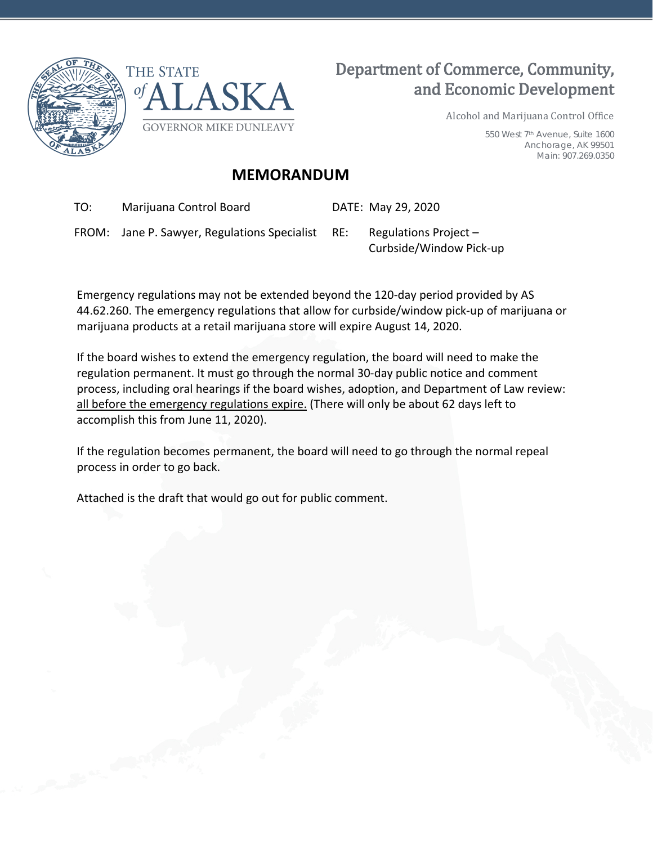



## Department of Commerce, Community, and Economic Development

Alcohol and Marijuana Control Office

550 West 7th Avenue, Suite 1600 Anchorage, AK 99501 Main: 907.269.0350

## **MEMORANDUM**

TO: Marijuana Control Board DATE: May 29, 2020

FROM: Jane P. Sawyer, Regulations Specialist RE: Regulations Project –

Curbside/Window Pick-up

Emergency regulations may not be extended beyond the 120-day period provided by AS 44.62.260. The emergency regulations that allow for curbside/window pick-up of marijuana or marijuana products at a retail marijuana store will expire August 14, 2020.

If the board wishes to extend the emergency regulation, the board will need to make the regulation permanent. It must go through the normal 30-day public notice and comment process, including oral hearings if the board wishes, adoption, and Department of Law review: all before the emergency regulations expire. (There will only be about 62 days left to accomplish this from June 11, 2020).

If the regulation becomes permanent, the board will need to go through the normal repeal process in order to go back.

Attached is the draft that would go out for public comment.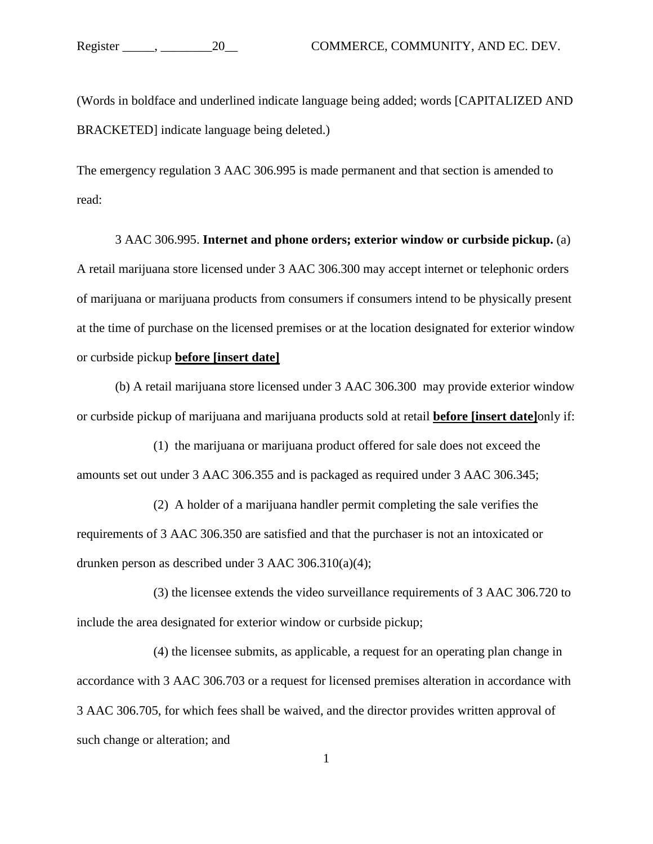(Words in boldface and underlined indicate language being added; words [CAPITALIZED AND BRACKETED] indicate language being deleted.)

The emergency regulation 3 AAC 306.995 is made permanent and that section is amended to read:

3 AAC 306.995. **Internet and phone orders; exterior window or curbside pickup.** (a) A retail marijuana store licensed under 3 AAC 306.300 may accept internet or telephonic orders of marijuana or marijuana products from consumers if consumers intend to be physically present at the time of purchase on the licensed premises or at the location designated for exterior window or curbside pickup **before [insert date]**

(b) A retail marijuana store licensed under 3 AAC 306.300 may provide exterior window or curbside pickup of marijuana and marijuana products sold at retail **before [insert date]**only if:

(1) the marijuana or marijuana product offered for sale does not exceed the amounts set out under 3 AAC 306.355 and is packaged as required under 3 AAC 306.345;

(2) A holder of a marijuana handler permit completing the sale verifies the requirements of 3 AAC 306.350 are satisfied and that the purchaser is not an intoxicated or drunken person as described under 3 AAC 306.310(a)(4);

(3) the licensee extends the video surveillance requirements of 3 AAC 306.720 to include the area designated for exterior window or curbside pickup;

(4) the licensee submits, as applicable, a request for an operating plan change in accordance with 3 AAC 306.703 or a request for licensed premises alteration in accordance with 3 AAC 306.705, for which fees shall be waived, and the director provides written approval of such change or alteration; and